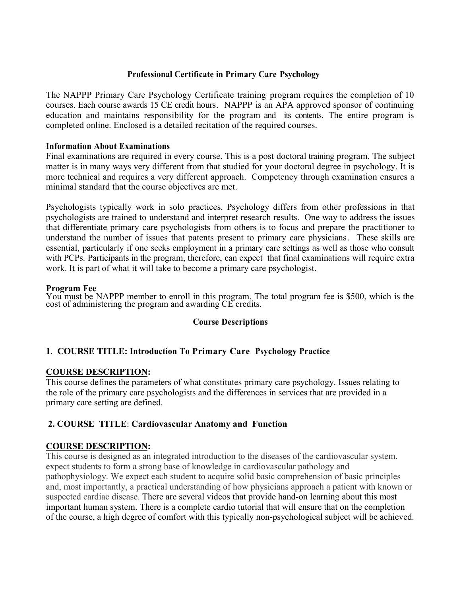## **Professional Certificate in Primary Care Psychology**

The NAPPP Primary Care Psychology Certificate training program requires the completion of 10 courses. Each course awards 15 CE credit hours. NAPPP is an APA approved sponsor of continuing education and maintains responsibility for the program and its contents. The entire program is completed online. Enclosed is a detailed recitation of the required courses.

### **Information About Examinations**

Final examinations are required in every course. This is a post doctoral training program. The subject matter is in many ways very different from that studied for your doctoral degree in psychology. It is more technical and requires a very different approach. Competency through examination ensures a minimal standard that the course objectives are met.

Psychologists typically work in solo practices. Psychology differs from other professions in that psychologists are trained to understand and interpret research results. One way to address the issues that differentiate primary care psychologists from others is to focus and prepare the practitioner to understand the number of issues that patents present to primary care physicians. These skills are essential, particularly if one seeks employment in a primary care settings as well as those who consult with PCPs. Participants in the program, therefore, can expect that final examinations will require extra work. It is part of what it will take to become a primary care psychologist.

#### **Program Fee**

You must be NAPPP member to enroll in this program. The total program fee is \$500, which is the cost of administering the program and awarding CE credits.

### **Course Descriptions**

# **1**. **COURSE TITLE: Introduction To Primary Care Psychology Practice**

### **COURSE DESCRIPTION:**

This course defines the parameters of what constitutes primary care psychology. Issues relating to the role of the primary care psychologists and the differences in services that are provided in a primary care setting are defined.

### **2. COURSE TITLE**: **Cardiovascular Anatomy and Function**

### **COURSE DESCRIPTION:**

This course is designed as an integrated introduction to the diseases of the cardiovascular system. expect students to form a strong base of knowledge in cardiovascular pathology and pathophysiology. We expect each student to acquire solid basic comprehension of basic principles and, most importantly, a practical understanding of how physicians approach a patient with known or suspected cardiac disease. There are several videos that provide hand-on learning about this most important human system. There is a complete cardio tutorial that will ensure that on the completion of the course, a high degree of comfort with this typically non-psychological subject will be achieved.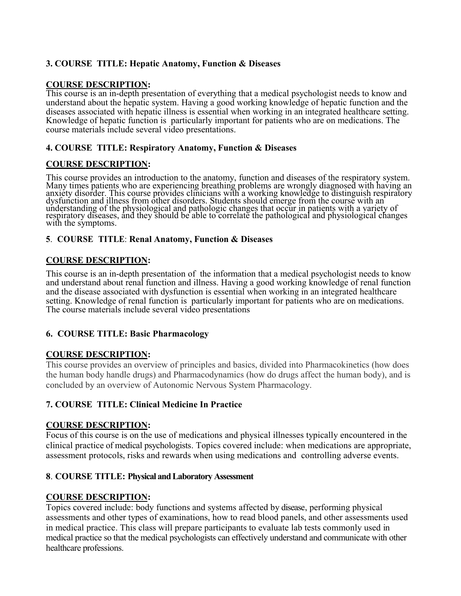# **3. COURSE TITLE: Hepatic Anatomy, Function & Diseases**

# **COURSE DESCRIPTION:**

This course is an in-depth presentation of everything that a medical psychologist needs to know and understand about the hepatic system. Having a good working knowledge of hepatic function and the diseases associated with hepatic illness is essential when working in an integrated healthcare setting. Knowledge of hepatic function is particularly important for patients who are on medications. The course materials include several video presentations.

## **4. COURSE TITLE: Respiratory Anatomy, Function & Diseases**

# **COURSE DESCRIPTION:**

This course provides an introduction to the anatomy, function and diseases of the respiratory system. Many times patients who are experiencing breathing problems are wrongly diagnosed with having an anxiety disorder. This course provides clinicians with a working knowledge to distinguish respiratory dysfunction and illness from other disorders. Students should emerge from the course with an understanding of the physiological and pathologic changes that occur in patients with a variety of respiratory diseases, and they should be able to correlate the pathological and physiological changes with the symptoms.

### **5**. **COURSE TITLE**: **Renal Anatomy, Function & Diseases**

## **COURSE DESCRIPTION:**

This course is an in-depth presentation of the information that a medical psychologist needs to know and understand about renal function and illness. Having a good working knowledge of renal function and the disease associated with dysfunction is essential when working in an integrated healthcare setting. Knowledge of renal function is particularly important for patients who are on medications. The course materials include several video presentations

# **6. COURSE TITLE: Basic Pharmacology**

### **COURSE DESCRIPTION:**

This course provides an overview of principles and basics, divided into Pharmacokinetics (how does the human body handle drugs) and Pharmacodynamics (how do drugs affect the human body), and is concluded by an overview of Autonomic Nervous System Pharmacology.

# **7. COURSE TITLE: Clinical Medicine In Practice**

### **COURSE DESCRIPTION:**

Focus of this course is on the use of medications and physical illnesses typically encountered in the clinical practice of medical psychologists. Topics covered include: when medications are appropriate, assessment protocols, risks and rewards when using medications and controlling adverse events.

### **8**. **COURSE TITLE: Physical and Laboratory Assessment**

# **COURSE DESCRIPTION:**

Topics covered include: body functions and systems affected by disease, performing physical assessments and other types of examinations, how to read blood panels, and other assessments used in medical practice. This class will prepare participants to evaluate lab tests commonly used in medical practice so that the medical psychologists can effectively understand and communicate with other healthcare professions.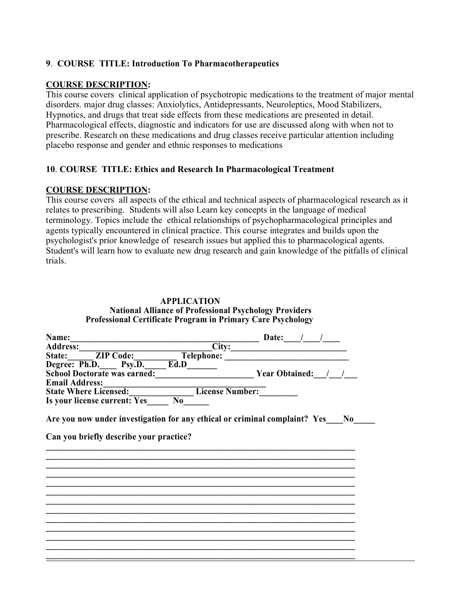## **9**. **COURSE TITLE: Introduction To Pharmacotherapeutics**

### **COURSE DESCRIPTION:**

This course covers clinical application of psychotropic medications to the treatment of major mental disorders. major drug classes: Anxiolytics, Antidepressants, Neuroleptics, Mood Stabilizers, Hypnotics, and drugs that treat side effects from these medications are presented in detail. Pharmacological effects, diagnostic and indicators for use are discussed along with when not to prescribe. Research on these medications and drug classes receive particular attention including placebo response and gender and ethnic responses to medications

## **10**. **COURSE TITLE: Ethics and Research In Pharmacological Treatment**

#### **COURSE DESCRIPTION:**

This course covers all aspects of the ethical and technical aspects of pharmacological research as it relates to prescribing. Students will also Learn key concepts in the language of medical terminology. Topics include the ethical relationships of psychopharmacological principles and agents typically encountered in clinical practice. This course integrates and builds upon the psychologist's prior knowledge of research issues but applied this to pharmacological agents. Student's will learn how to evaluate new drug research and gain knowledge of the pitfalls of clinical trials.

| <b>APPLICATION</b>                                                 |
|--------------------------------------------------------------------|
| <b>National Alliance of Professional Psychology Providers</b>      |
| <b>Professional Certificate Program in Primary Care Psychology</b> |

| Name:                                                                         | Date:                   |
|-------------------------------------------------------------------------------|-------------------------|
| <b>Address:</b>                                                               | City:                   |
| <b>ZIP Code:</b><br>Telephone:<br>State:                                      |                         |
| Degree: Ph.D. Psy.D. Ed.D                                                     |                         |
| <b>School Doctorate was earned:</b>                                           | <b>Year Obtained:</b> / |
| <b>Email Address:</b>                                                         |                         |
| <b>State Where Licensed:</b>                                                  | <b>License Number:</b>  |
| Is your license current: Yes<br>$\bf{N0}$                                     |                         |
| Are you now under investigation for any ethical or criminal complaint? Yes No |                         |
| Can you briefly describe your practice?                                       |                         |
|                                                                               |                         |
|                                                                               |                         |
|                                                                               |                         |
|                                                                               |                         |
|                                                                               |                         |
|                                                                               |                         |
|                                                                               |                         |
|                                                                               |                         |
|                                                                               |                         |
|                                                                               |                         |
|                                                                               |                         |
|                                                                               |                         |
|                                                                               |                         |